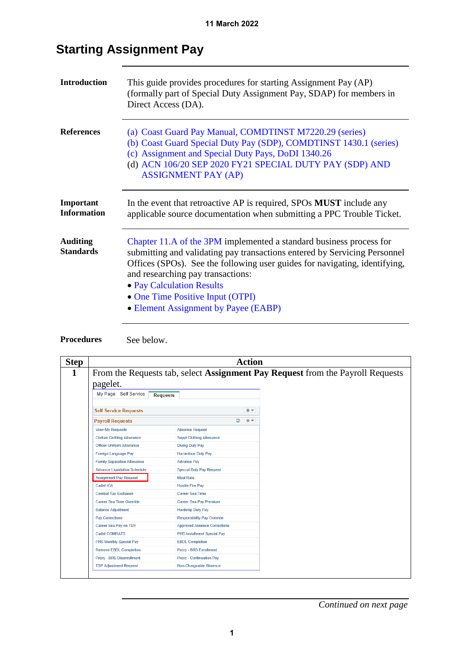| <b>Introduction</b>                 | This guide provides procedures for starting Assignment Pay (AP)<br>(formally part of Special Duty Assignment Pay, SDAP) for members in<br>Direct Access (DA).                                                                                                                                                                                                                |
|-------------------------------------|------------------------------------------------------------------------------------------------------------------------------------------------------------------------------------------------------------------------------------------------------------------------------------------------------------------------------------------------------------------------------|
| <b>References</b>                   | (a) Coast Guard Pay Manual, COMDTINST M7220.29 (series)<br>(b) Coast Guard Special Duty Pay (SDP), COMDTINST 1430.1 (series)<br>(c) Assignment and Special Duty Pays, DoDI 1340.26<br>(d) ACN 106/20 SEP 2020 FY21 SPECIAL DUTY PAY (SDP) AND<br><b>ASSIGNMENT PAY (AP)</b>                                                                                                  |
| Important<br><b>Information</b>     | In the event that retroactive AP is required, SPOs <b>MUST</b> include any<br>applicable source documentation when submitting a PPC Trouble Ticket.                                                                                                                                                                                                                          |
| <b>Auditing</b><br><b>Standards</b> | Chapter 11.A of the 3PM implemented a standard business process for<br>submitting and validating pay transactions entered by Servicing Personnel<br>Offices (SPOs). See the following user guides for navigating, identifying,<br>and researching pay transactions:<br>• Pay Calculation Results<br>• One Time Positive Input (OTPI)<br>• Element Assignment by Payee (EABP) |

# **Starting Assignment Pay**

**Procedures** See below.

| <b>Step</b> | <b>Action</b>                                                                  |                                     |  |  |  |  |
|-------------|--------------------------------------------------------------------------------|-------------------------------------|--|--|--|--|
| 1           | From the Requests tab, select Assignment Pay Request from the Payroll Requests |                                     |  |  |  |  |
|             | pagelet.                                                                       |                                     |  |  |  |  |
|             | My Page Self Service<br><b>Requests</b>                                        |                                     |  |  |  |  |
|             | <b>Self Service Requests</b>                                                   | ö ▼                                 |  |  |  |  |
|             | <b>Payroll Requests</b>                                                        | e<br>春天                             |  |  |  |  |
|             | <b>View My Requests</b>                                                        | <b>Absence Request</b>              |  |  |  |  |
|             | <b>Civilian Clothing Allowance</b>                                             | <b>Suppl Clothing Allowance</b>     |  |  |  |  |
|             | <b>Officer Uniform Allowance</b>                                               | Diving Duty Pay                     |  |  |  |  |
|             | Foreign Language Pay                                                           | <b>Hazardous Duty Pay</b>           |  |  |  |  |
|             | <b>Family Separation Allowance</b>                                             | <b>Advance Pay</b>                  |  |  |  |  |
|             | <b>Advance Liquidation Schedule</b>                                            | <b>Special Duty Pay Request</b>     |  |  |  |  |
|             | <b>Assignment Pay Request</b>                                                  | <b>Meal Rate</b>                    |  |  |  |  |
|             | Cadet ICA                                                                      | <b>Hostile Fire Pay</b>             |  |  |  |  |
|             | <b>Combat Tax Exclusion</b>                                                    | Career Sea Time                     |  |  |  |  |
|             | Career Sea Time Override                                                       | <b>Career Sea Pay Premium</b>       |  |  |  |  |
|             | <b>Balance Adjustment</b>                                                      | <b>Hardship Duty Pay</b>            |  |  |  |  |
|             | Pay Corrections                                                                | <b>Responsibility Pay Override</b>  |  |  |  |  |
|             | Career Sea Pay on TDY                                                          | <b>Approved Absence Corrections</b> |  |  |  |  |
|             | Cadet COMRATS                                                                  | PHS Installment Special Pay         |  |  |  |  |
|             | PHS Monthly Special Pay                                                        | <b>EBDL Completion</b>              |  |  |  |  |
|             | <b>Remove EBDL Completion</b>                                                  | Proxy - BRS Enrollment              |  |  |  |  |
|             | Proxy - BRS Disenrollment                                                      | Proxy - Continuation Pay            |  |  |  |  |
|             | <b>TSP Adjustment Request</b>                                                  | Non-Chargeable Absence              |  |  |  |  |
|             |                                                                                |                                     |  |  |  |  |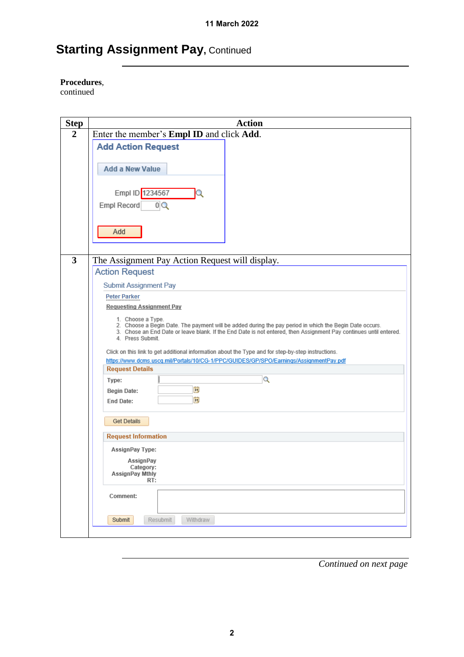#### **Procedures**,

continued

| <b>Step</b>             | <b>Action</b>                                                                                                                                                                                                                                                         |
|-------------------------|-----------------------------------------------------------------------------------------------------------------------------------------------------------------------------------------------------------------------------------------------------------------------|
| $\overline{2}$          | Enter the member's Empl ID and click Add.                                                                                                                                                                                                                             |
|                         | <b>Add Action Request</b>                                                                                                                                                                                                                                             |
|                         | <b>Add a New Value</b>                                                                                                                                                                                                                                                |
|                         | Empl ID 1234567<br>0Q<br>Empl Record                                                                                                                                                                                                                                  |
|                         | Add                                                                                                                                                                                                                                                                   |
| $\overline{\mathbf{3}}$ | The Assignment Pay Action Request will display.                                                                                                                                                                                                                       |
|                         | <b>Action Request</b>                                                                                                                                                                                                                                                 |
|                         |                                                                                                                                                                                                                                                                       |
|                         | Submit Assignment Pay<br><b>Peter Parker</b>                                                                                                                                                                                                                          |
|                         | <b>Requesting Assignment Pay</b>                                                                                                                                                                                                                                      |
|                         |                                                                                                                                                                                                                                                                       |
|                         | 1. Choose a Type.<br>2. Choose a Begin Date. The payment will be added during the pay period in which the Begin Date occurs.<br>3. Chose an End Date or leave blank. If the End Date is not entered, then Assignment Pay continues until entered.<br>4. Press Submit. |
|                         | Click on this link to get additional information about the Type and for step-by-step instructions.                                                                                                                                                                    |
|                         | https://www.dcms.uscq.mil/Portals/10/CG-1/PPC/GUIDES/GP/SPO/Earnings/AssignmentPay.pdf                                                                                                                                                                                |
|                         | <b>Request Details</b>                                                                                                                                                                                                                                                |
|                         | Q<br>Type:                                                                                                                                                                                                                                                            |
|                         | D)<br><b>Begin Date:</b>                                                                                                                                                                                                                                              |
|                         | Ħ<br><b>End Date:</b>                                                                                                                                                                                                                                                 |
|                         | <b>Get Details</b>                                                                                                                                                                                                                                                    |
|                         | <b>Request Information</b>                                                                                                                                                                                                                                            |
|                         | AssignPay Type:                                                                                                                                                                                                                                                       |
|                         | AssignPay                                                                                                                                                                                                                                                             |
|                         | Category:<br>AssignPay Mthly                                                                                                                                                                                                                                          |
|                         | RT:                                                                                                                                                                                                                                                                   |
|                         | Comment:                                                                                                                                                                                                                                                              |
|                         | Resubmit<br>Withdraw<br>Submit                                                                                                                                                                                                                                        |
|                         |                                                                                                                                                                                                                                                                       |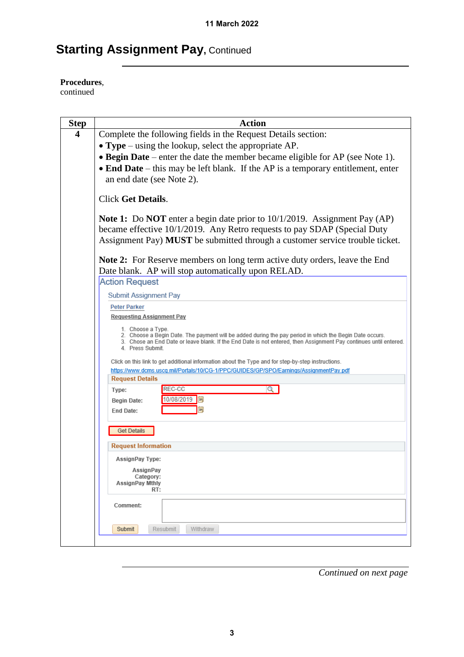**Procedures**,

continued

| <b>Step</b> | <b>Action</b>                                                                                                                                                                                                                                                         |
|-------------|-----------------------------------------------------------------------------------------------------------------------------------------------------------------------------------------------------------------------------------------------------------------------|
| 4           | Complete the following fields in the Request Details section:                                                                                                                                                                                                         |
|             | • Type – using the lookup, select the appropriate $AP$ .                                                                                                                                                                                                              |
|             | • Begin Date – enter the date the member became eligible for AP (see Note 1).                                                                                                                                                                                         |
|             | • End Date – this may be left blank. If the AP is a temporary entitlement, enter                                                                                                                                                                                      |
|             | an end date (see Note 2).                                                                                                                                                                                                                                             |
|             | <b>Click Get Details.</b>                                                                                                                                                                                                                                             |
|             | Note 1: Do NOT enter a begin date prior to 10/1/2019. Assignment Pay (AP)<br>became effective 10/1/2019. Any Retro requests to pay SDAP (Special Duty<br>Assignment Pay) MUST be submitted through a customer service trouble ticket.                                 |
|             | <b>Note 2:</b> For Reserve members on long term active duty orders, leave the End<br>Date blank. AP will stop automatically upon RELAD.                                                                                                                               |
|             | <b>Action Request</b>                                                                                                                                                                                                                                                 |
|             | <b>Submit Assignment Pay</b>                                                                                                                                                                                                                                          |
|             | <b>Peter Parker</b>                                                                                                                                                                                                                                                   |
|             | <b>Requesting Assignment Pay</b>                                                                                                                                                                                                                                      |
|             | 1. Choose a Type.<br>2. Choose a Begin Date. The payment will be added during the pay period in which the Begin Date occurs.<br>3. Chose an End Date or leave blank. If the End Date is not entered, then Assignment Pay continues until entered.<br>4. Press Submit. |
|             | Click on this link to get additional information about the Type and for step-by-step instructions.                                                                                                                                                                    |
|             | https://www.dcms.uscq.mil/Portals/10/CG-1/PPC/GUIDES/GP/SPO/Earnings/AssignmentPay.pdf                                                                                                                                                                                |
|             | <b>Request Details</b><br>REC-CC<br>Q                                                                                                                                                                                                                                 |
|             | Type:<br>10/08/2019<br>31                                                                                                                                                                                                                                             |
|             | <b>Begin Date:</b><br>BL<br><b>End Date:</b>                                                                                                                                                                                                                          |
|             | <b>Get Details</b>                                                                                                                                                                                                                                                    |
|             | <b>Request Information</b>                                                                                                                                                                                                                                            |
|             | <b>AssignPay Type:</b>                                                                                                                                                                                                                                                |
|             | AssignPay<br>Category:                                                                                                                                                                                                                                                |
|             | AssignPay Mthly<br>RT:                                                                                                                                                                                                                                                |
|             |                                                                                                                                                                                                                                                                       |
|             | Comment:                                                                                                                                                                                                                                                              |
|             | Resubmit<br>Withdraw<br>Submit                                                                                                                                                                                                                                        |
|             |                                                                                                                                                                                                                                                                       |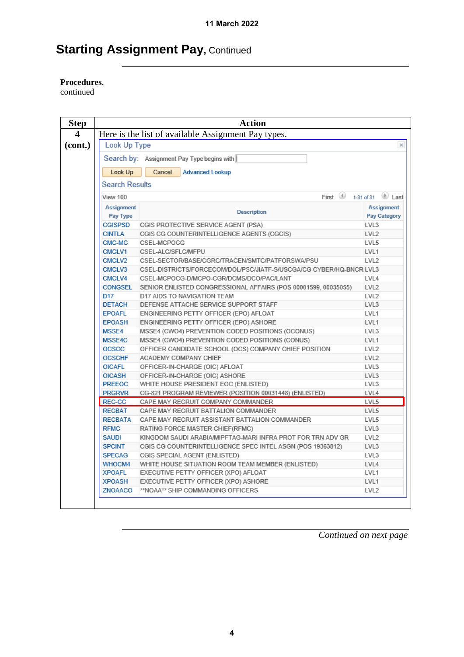#### **Procedures**,

continued

| <b>Step</b> |                                                     | <b>Action</b>                                                       |                                   |  |  |
|-------------|-----------------------------------------------------|---------------------------------------------------------------------|-----------------------------------|--|--|
| 4           | Here is the list of available Assignment Pay types. |                                                                     |                                   |  |  |
| (cont.)     | Look Up Type                                        |                                                                     | $\times$                          |  |  |
|             | Search by: Assignment Pay Type begins with          |                                                                     |                                   |  |  |
|             | Look Up                                             | Cancel<br><b>Advanced Lookup</b>                                    |                                   |  |  |
|             | <b>Search Results</b>                               |                                                                     |                                   |  |  |
|             |                                                     |                                                                     |                                   |  |  |
|             | View 100                                            | First 1-31 of 31                                                    | Last                              |  |  |
|             | <b>Assignment</b><br>Pay Type                       | <b>Description</b>                                                  | <b>Assignment</b><br>Pay Category |  |  |
|             | <b>CGISPSD</b>                                      | CGIS PROTECTIVE SERVICE AGENT (PSA)                                 | LVL3                              |  |  |
|             | <b>CINTLA</b>                                       | CGIS CG COUNTERINTELLIGENCE AGENTS (CGCIS)                          | LVL <sub>2</sub>                  |  |  |
|             | CMC-MC                                              | CSEL-MCPOCG                                                         | LVL5                              |  |  |
|             | CMCLV1                                              | CSEL-ALC/SFLC/MFPU                                                  | LVL <sub>1</sub>                  |  |  |
|             | CMCLV2                                              | CSEL-SECTOR/BASE/CGRC/TRACEN/SMTC/PATFORSWA/PSU                     | LVL <sub>2</sub>                  |  |  |
|             | CMCLV3                                              | CSEL-DISTRICTS/FORCECOM/DOL/PSC/JIATF-S/USCGA/CG CYBER/HQ-BNCR LVL3 |                                   |  |  |
|             | CMCLV4                                              | CSEL-MCPOCG-D/MCPO-CGR/DCMS/DCO/PAC/LANT                            | LVL4                              |  |  |
|             | CONGSEL                                             | SENIOR ENLISTED CONGRESSIONAL AFFAIRS (POS 00001599, 00035055)      | LVL <sub>2</sub>                  |  |  |
|             | D <sub>17</sub>                                     | D17 AIDS TO NAVIGATION TEAM                                         | LVL <sub>2</sub>                  |  |  |
|             | <b>DETACH</b>                                       | DEFENSE ATTACHE SERVICE SUPPORT STAFF                               | LVL3                              |  |  |
|             | <b>EPOAFL</b>                                       | ENGINEERING PETTY OFFICER (EPO) AFLOAT                              | LVL1                              |  |  |
|             | <b>EPOASH</b>                                       | ENGINEERING PETTY OFFICER (EPO) ASHORE                              | LVL1                              |  |  |
|             | MSSE4                                               | MSSE4 (CWO4) PREVENTION CODED POSITIONS (OCONUS)                    | LVL3                              |  |  |
|             | MSSE4C                                              | MSSE4 (CWO4) PREVENTION CODED POSITIONS (CONUS)                     | LVL <sub>1</sub>                  |  |  |
|             | <b>OCSCC</b>                                        | OFFICER CANDIDATE SCHOOL (OCS) COMPANY CHIEF POSITION               | LVL <sub>2</sub>                  |  |  |
|             | <b>OCSCHF</b>                                       | ACADEMY COMPANY CHIEF                                               | LVL <sub>2</sub>                  |  |  |
|             | <b>OICAFL</b>                                       | OFFICER-IN-CHARGE (OIC) AFLOAT                                      | LVL3                              |  |  |
|             | <b>OICASH</b>                                       | OFFICER-IN-CHARGE (OIC) ASHORE                                      | LVL3                              |  |  |
|             | <b>PREEOC</b>                                       | WHITE HOUSE PRESIDENT EOC (ENLISTED)                                | LVL3                              |  |  |
|             | <b>PRGRVR</b>                                       | CG-821 PROGRAM REVIEWER (POSITION 00031448) (ENLISTED)              | LVL4                              |  |  |
|             | REC-CC                                              | CAPE MAY RECRUIT COMPANY COMMANDER                                  | LVL5                              |  |  |
|             | <b>RECBAT</b>                                       | CAPE MAY RECRUIT BATTALION COMMANDER                                | LVL5                              |  |  |
|             | <b>RECBATA</b>                                      | CAPE MAY RECRUIT ASSISTANT BATTALION COMMANDER                      | LVL5                              |  |  |
|             | <b>RFMC</b>                                         | RATING FORCE MASTER CHIEF(RFMC)                                     | LVL3                              |  |  |
|             | <b>SAUDI</b>                                        | KINGDOM SAUDI ARABIA/MIPFTAG-MARI INFRA PROT FOR TRN ADV GR         | LVL <sub>2</sub>                  |  |  |
|             | <b>SPCINT</b>                                       | CGIS CG COUNTERINTELLIGENCE SPEC INTEL ASGN (POS 19363812)          | LVL3                              |  |  |
|             | <b>SPECAG</b>                                       | CGIS SPECIAL AGENT (ENLISTED)                                       | LVL3                              |  |  |
|             | WHOCM4                                              | WHITE HOUSE SITUATION ROOM TEAM MEMBER (ENLISTED)                   | LVL4                              |  |  |
|             | <b>XPOAFL</b>                                       | EXECUTIVE PETTY OFFICER (XPO) AFLOAT                                | LVL1                              |  |  |
|             | <b>XPOASH</b>                                       | EXECUTIVE PETTY OFFICER (XPO) ASHORE                                | LVL1                              |  |  |
|             | ZNOAACO                                             | **NOAA** SHIP COMMANDING OFFICERS                                   | LVL <sub>2</sub>                  |  |  |
|             |                                                     |                                                                     |                                   |  |  |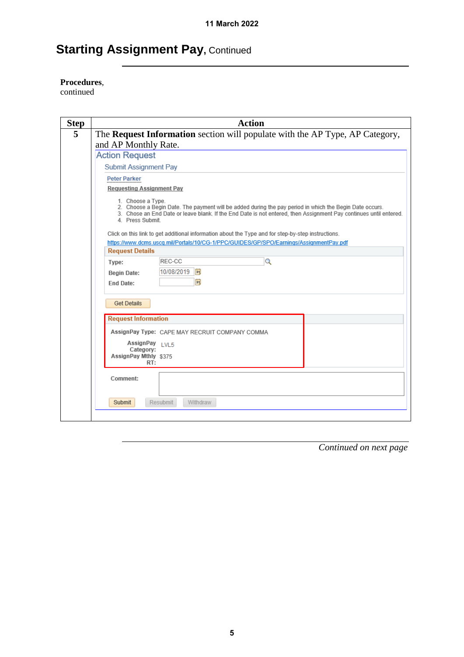#### **Procedures**,

continued

| <b>Step</b> | <b>Action</b>                                                                                                                                                                                                                                                         |  |  |  |
|-------------|-----------------------------------------------------------------------------------------------------------------------------------------------------------------------------------------------------------------------------------------------------------------------|--|--|--|
| 5           | The Request Information section will populate with the AP Type, AP Category,<br>and AP Monthly Rate.                                                                                                                                                                  |  |  |  |
|             | <b>Action Request</b>                                                                                                                                                                                                                                                 |  |  |  |
|             | <b>Submit Assignment Pay</b>                                                                                                                                                                                                                                          |  |  |  |
|             | <b>Peter Parker</b><br><b>Requesting Assignment Pay</b>                                                                                                                                                                                                               |  |  |  |
|             | 1. Choose a Type.<br>2. Choose a Begin Date. The payment will be added during the pay period in which the Begin Date occurs.<br>3. Chose an End Date or leave blank. If the End Date is not entered, then Assignment Pay continues until entered.<br>4. Press Submit. |  |  |  |
|             | Click on this link to get additional information about the Type and for step-by-step instructions.                                                                                                                                                                    |  |  |  |
|             | https://www.dcms.uscq.mil/Portals/10/CG-1/PPC/GUIDES/GP/SPO/Earnings/AssignmentPay.pdf<br><b>Request Details</b>                                                                                                                                                      |  |  |  |
|             | REC-CC<br>Q<br>Type:                                                                                                                                                                                                                                                  |  |  |  |
|             | 10/08/2019 同<br><b>Begin Date:</b>                                                                                                                                                                                                                                    |  |  |  |
|             | Ħ<br><b>End Date:</b>                                                                                                                                                                                                                                                 |  |  |  |
|             | <b>Get Details</b>                                                                                                                                                                                                                                                    |  |  |  |
|             | <b>Request Information</b>                                                                                                                                                                                                                                            |  |  |  |
|             | AssignPay Type: CAPE MAY RECRUIT COMPANY COMMA                                                                                                                                                                                                                        |  |  |  |
|             | AssignPay LVL5<br>Category:<br>AssignPay Mthly \$375<br>RT:                                                                                                                                                                                                           |  |  |  |
|             | Comment:                                                                                                                                                                                                                                                              |  |  |  |
|             | Submit<br><b>Resubmit</b><br>Withdraw                                                                                                                                                                                                                                 |  |  |  |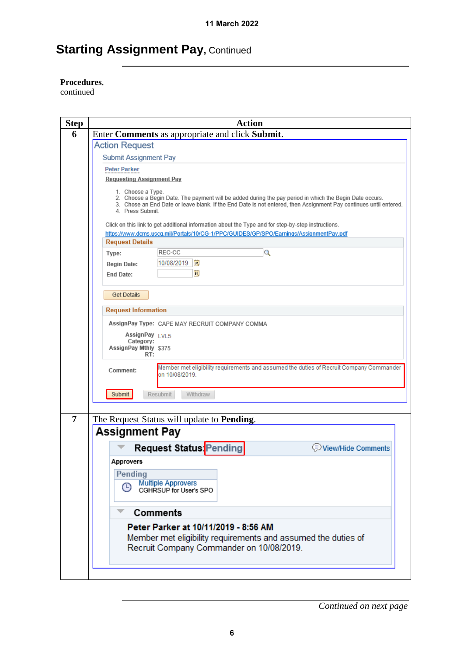#### **Procedures**,

continued

| <b>Step</b>    | <b>Action</b>                                                                                                                                                                                                                                                       |
|----------------|---------------------------------------------------------------------------------------------------------------------------------------------------------------------------------------------------------------------------------------------------------------------|
| 6              | Enter Comments as appropriate and click Submit.                                                                                                                                                                                                                     |
|                | <b>Action Request</b>                                                                                                                                                                                                                                               |
|                | <b>Submit Assignment Pay</b>                                                                                                                                                                                                                                        |
|                | Peter Parker                                                                                                                                                                                                                                                        |
|                | <b>Requesting Assignment Pay</b>                                                                                                                                                                                                                                    |
|                | 1. Choose a Type.<br>2. Choose a Begin Date. The payment will be added during the pay period in which the Begin Date occurs.<br>3. Chose an End Date or leave blank. If the End Date is not entered, then Assignment Pay continues until entered.<br>4 Press Submit |
|                | Click on this link to get additional information about the Type and for step-by-step instructions.                                                                                                                                                                  |
|                | https://www.dcms.uscq.mil/Portals/10/CG-1/PPC/GUIDES/GP/SPO/Earnings/AssignmentPay.pdf<br><b>Request Details</b>                                                                                                                                                    |
|                | REC-CC<br>Q                                                                                                                                                                                                                                                         |
|                | Type:<br>10/08/2019  司                                                                                                                                                                                                                                              |
|                | <b>Begin Date:</b><br>Bt                                                                                                                                                                                                                                            |
|                | <b>End Date:</b>                                                                                                                                                                                                                                                    |
|                | <b>Get Details</b>                                                                                                                                                                                                                                                  |
|                | <b>Request Information</b>                                                                                                                                                                                                                                          |
|                | AssignPay Type: CAPE MAY RECRUIT COMPANY COMMA                                                                                                                                                                                                                      |
|                | AssignPay LVL5                                                                                                                                                                                                                                                      |
|                | Category:                                                                                                                                                                                                                                                           |
|                | AssignPay Mthly \$375<br>RT:                                                                                                                                                                                                                                        |
|                | Member met eligibility requirements and assumed the duties of Recruit Company Commander<br>Comment:<br>on 10/08/2019.                                                                                                                                               |
|                | Submit<br>Resubmit<br>Withdraw                                                                                                                                                                                                                                      |
|                |                                                                                                                                                                                                                                                                     |
| $\overline{7}$ | The Request Status will update to <b>Pending</b> .                                                                                                                                                                                                                  |
|                | <b>Assignment Pay</b>                                                                                                                                                                                                                                               |
|                | <b>Request Status Pending</b><br>View/Hide Comments                                                                                                                                                                                                                 |
|                | Approvers                                                                                                                                                                                                                                                           |
|                | Pending                                                                                                                                                                                                                                                             |
|                | <b>Multiple Approvers</b><br>⊕                                                                                                                                                                                                                                      |
|                | CGHRSUP for User's SPO                                                                                                                                                                                                                                              |
|                |                                                                                                                                                                                                                                                                     |
|                | <b>Comments</b>                                                                                                                                                                                                                                                     |
|                | Peter Parker at 10/11/2019 - 8:56 AM                                                                                                                                                                                                                                |
|                | Member met eligibility requirements and assumed the duties of                                                                                                                                                                                                       |
|                | Recruit Company Commander on 10/08/2019.                                                                                                                                                                                                                            |
|                |                                                                                                                                                                                                                                                                     |
|                |                                                                                                                                                                                                                                                                     |
|                |                                                                                                                                                                                                                                                                     |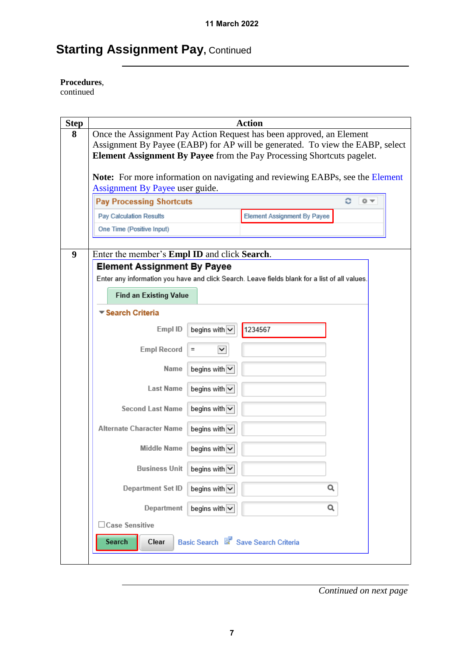#### **Procedures**,

continued

| <b>Step</b>      | <b>Action</b>                                                                                 |  |
|------------------|-----------------------------------------------------------------------------------------------|--|
| 8                | Once the Assignment Pay Action Request has been approved, an Element                          |  |
|                  | Assignment By Payee (EABP) for AP will be generated. To view the EABP, select                 |  |
|                  | <b>Element Assignment By Payee</b> from the Pay Processing Shortcuts pagelet.                 |  |
|                  | Note: For more information on navigating and reviewing EABPs, see the Element                 |  |
|                  | Assignment By Payee user guide.                                                               |  |
|                  | <b>Pay Processing Shortcuts</b><br>c<br>章マ                                                    |  |
|                  | <b>Element Assignment By Payee</b><br><b>Pay Calculation Results</b>                          |  |
|                  | One Time (Positive Input)                                                                     |  |
|                  |                                                                                               |  |
| $\boldsymbol{9}$ | Enter the member's <b>Empl ID</b> and click <b>Search</b> .                                   |  |
|                  | <b>Element Assignment By Payee</b>                                                            |  |
|                  | Enter any information you have and click Search. Leave fields blank for a list of all values. |  |
|                  | <b>Find an Existing Value</b>                                                                 |  |
|                  | ▼ Search Criteria                                                                             |  |
|                  | Empl ID<br>begins with $\overline{\smile}$<br>1234567                                         |  |
|                  | <b>Empl Record</b><br>$\checkmark$<br>$=$                                                     |  |
|                  | Name<br>begins with $\overline{\smile}$                                                       |  |
|                  | <b>Last Name</b><br>begins with $\overline{\smile}$                                           |  |
|                  | <b>Second Last Name</b><br>begins with $\overline{\smile}$                                    |  |
|                  | begins with $\overline{\smile}$<br>Alternate Character Name                                   |  |
|                  | Middle Name<br>begins with $\overline{\smile}$                                                |  |
|                  | <b>Business Unit</b><br>begins with $\triangledown$                                           |  |
|                  | Q<br>Department Set ID<br>begins with $\overline{\smile}$                                     |  |
|                  | begins with $\overline{\smile}$<br>Q<br>Department                                            |  |
|                  | $\exists$ Case Sensitive                                                                      |  |
|                  | Basic Search & Save Search Criteria<br>Search<br>Clear                                        |  |
|                  |                                                                                               |  |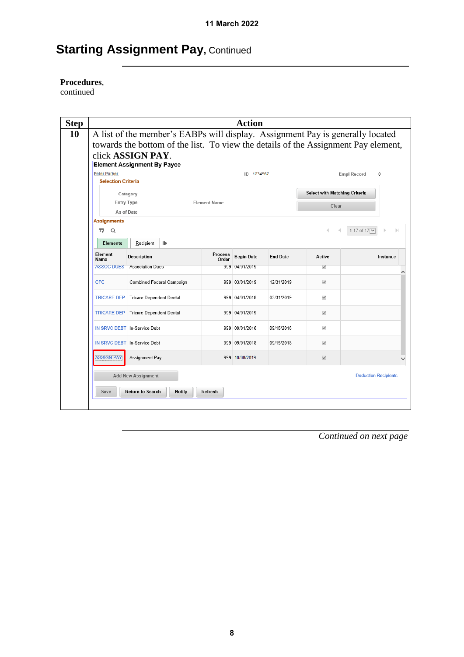#### **Procedures**,

continued

| <b>Step</b> |                                                  |                                    |               |                     | <b>Action</b>     |                 |                                      |                                                                                    |
|-------------|--------------------------------------------------|------------------------------------|---------------|---------------------|-------------------|-----------------|--------------------------------------|------------------------------------------------------------------------------------|
| 10          |                                                  |                                    |               |                     |                   |                 |                                      | A list of the member's EABPs will display. Assignment Pay is generally located     |
|             |                                                  |                                    |               |                     |                   |                 |                                      | towards the bottom of the list. To view the details of the Assignment Pay element, |
|             |                                                  | click ASSIGN PAY.                  |               |                     |                   |                 |                                      |                                                                                    |
|             |                                                  | <b>Element Assignment By Payee</b> |               |                     |                   |                 |                                      |                                                                                    |
|             | <b>Peter Parker</b><br><b>Selection Criteria</b> |                                    |               |                     | ID 1234567        |                 |                                      | <b>Empl Record</b><br>0                                                            |
|             |                                                  |                                    |               |                     |                   |                 | <b>Select with Matching Criteria</b> |                                                                                    |
|             | <b>Entry Type</b>                                | Category                           |               | <b>Element Name</b> |                   |                 |                                      |                                                                                    |
|             | As of Date                                       |                                    |               |                     |                   |                 | Clear                                |                                                                                    |
|             | <b>Assignments</b>                               |                                    |               |                     |                   |                 |                                      |                                                                                    |
|             | $\alpha$<br>E,                                   |                                    |               |                     |                   |                 | 4                                    | 1-17 of 17 V<br>$\left\vert \cdot\right\vert$<br>ь                                 |
|             | <b>Elements</b>                                  | Recipient<br>$\mathbb{I}$          |               |                     |                   |                 |                                      |                                                                                    |
|             | Element<br>Name                                  | Description                        |               | Process<br>Order    | <b>Begin Date</b> | <b>End Date</b> | Active                               | Instance                                                                           |
|             | <b>ASSOC DUES</b>                                | <b>Association Dues</b>            |               |                     | 999 04/01/2019    |                 | √                                    |                                                                                    |
|             | CFC.                                             | Combined Federal Campaign          |               |                     | 999 03/01/2019    | 12/31/2019      | $\checkmark$                         |                                                                                    |
|             | <b>TRICARE DEP</b>                               | <b>Tricare Dependent Dental</b>    |               |                     | 999 04/01/2018    | 03/31/2019      | √                                    |                                                                                    |
|             | <b>TRICARE DEP</b>                               | <b>Tricare Dependent Dental</b>    |               |                     | 999 04/01/2019    |                 | $\checkmark$                         |                                                                                    |
|             |                                                  | IN SRVC DEBT   In-Service Debt     |               |                     | 999 09/01/2016    | 09/15/2016      | √                                    |                                                                                    |
|             |                                                  | IN SRVC DEBT In-Service Debt       |               |                     | 999 09/01/2018    | 09/15/2018      | $\checkmark$                         |                                                                                    |
|             | <b>ASSIGN PAY</b>                                | Assignment Pay                     |               |                     | 999 10/08/2019    |                 | $\checkmark$                         |                                                                                    |
|             |                                                  | <b>Add New Assignment</b>          |               |                     |                   |                 |                                      | <b>Deduction Recipients</b>                                                        |
|             | Save                                             | <b>Return to Search</b>            | <b>Notify</b> | Refresh             |                   |                 |                                      |                                                                                    |
|             |                                                  |                                    |               |                     |                   |                 |                                      |                                                                                    |